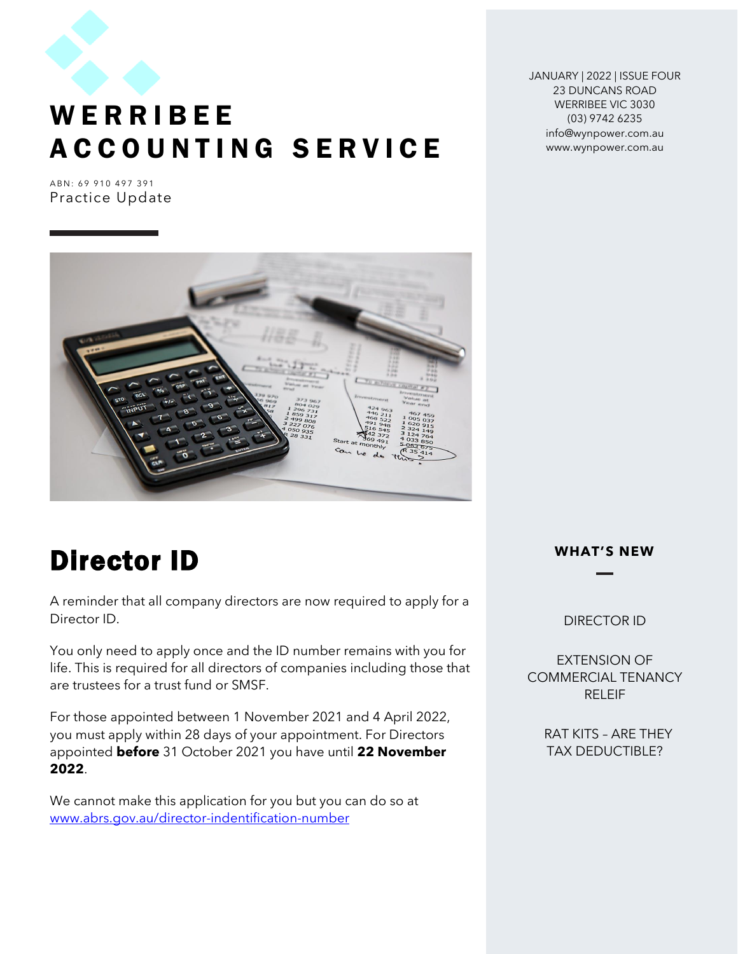

JANUARY | 2022 | ISSUE FOUR 23 DUNCANS ROAD WERRIBEE VIC 3030 (03) 9742 6235 info@wynpower.com.au www.wynpower.com.au

A B N : 69 910 497 391 Practice Update



## Director ID

A reminder that all company directors are now required to apply for a Director ID.

You only need to apply once and the ID number remains with you for life. This is required for all directors of companies including those that are trustees for a trust fund or SMSF.

For those appointed between 1 November 2021 and 4 April 2022, you must apply within 28 days of your appointment. For Directors appointed **before** 31 October 2021 you have until **22 November 2022**.

We cannot make this application for you but you can do so at [www.abrs.gov.au/director-indentification-number](http://www.abrs.gov.au/director-indentification-number)

#### **WHAT'S NEW**

#### DIRECTOR ID

EXTENSION OF COMMERCIAL TENANCY RELEIF

> RAT KITS – ARE THEY TAX DEDUCTIBLE?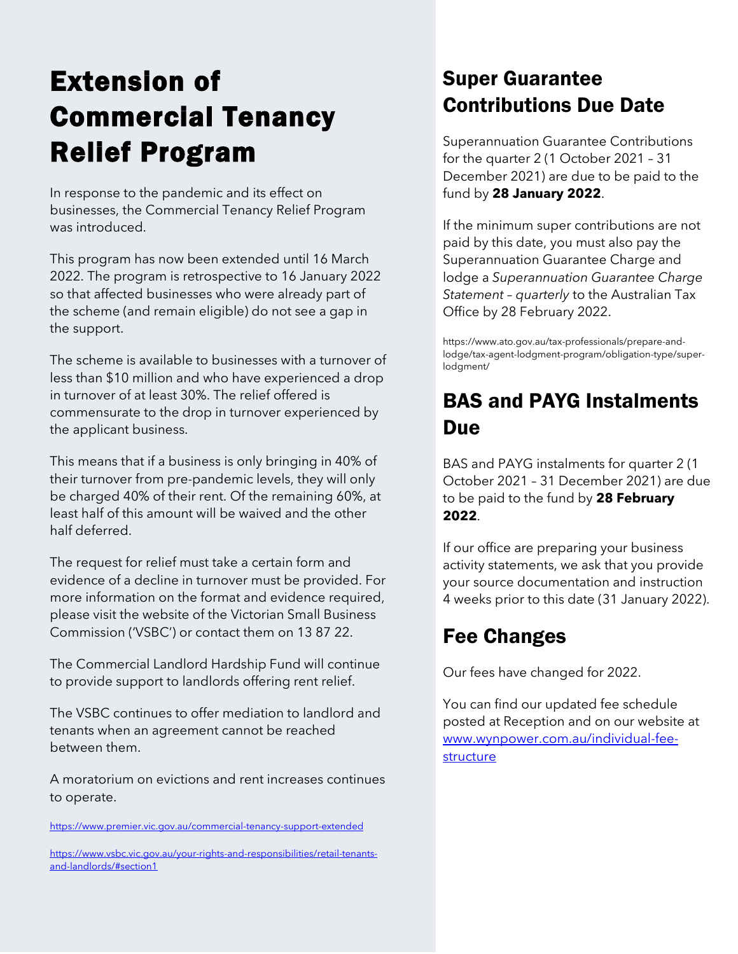# Extension of Commercial Tenancy Relief Program

In response to the pandemic and its effect on businesses, the Commercial Tenancy Relief Program was introduced.

This program has now been extended until 16 March 2022. The program is retrospective to 16 January 2022 so that affected businesses who were already part of the scheme (and remain eligible) do not see a gap in the support.

The scheme is available to businesses with a turnover of less than \$10 million and who have experienced a drop in turnover of at least 30%. The relief offered is commensurate to the drop in turnover experienced by the applicant business.

This means that if a business is only bringing in 40% of their turnover from pre-pandemic levels, they will only be charged 40% of their rent. Of the remaining 60%, at least half of this amount will be waived and the other half deferred.

The request for relief must take a certain form and evidence of a decline in turnover must be provided. For more information on the format and evidence required, please visit the website of the Victorian Small Business Commission ('VSBC') or contact them on 13 87 22.

The Commercial Landlord Hardship Fund will continue to provide support to landlords offering rent relief.

The VSBC continues to offer mediation to landlord and tenants when an agreement cannot be reached between them.

A moratorium on evictions and rent increases continues to operate.

<https://www.premier.vic.gov.au/commercial-tenancy-support-extended>

[https://www.vsbc.vic.gov.au/your-rights-and-responsibilities/retail-tenants](https://www.vsbc.vic.gov.au/your-rights-and-responsibilities/retail-tenants-and-landlords/#section1)[and-landlords/#section1](https://www.vsbc.vic.gov.au/your-rights-and-responsibilities/retail-tenants-and-landlords/#section1)

## Super Guarantee Contributions Due Date

Superannuation Guarantee Contributions for the quarter 2 (1 October 2021 – 31 December 2021) are due to be paid to the fund by **28 January 2022**.

If the minimum super contributions are not paid by this date, you must also pay the Superannuation Guarantee Charge and lodge a *Superannuation Guarantee Charge Statement – quarterly* to the Australian Tax Office by 28 February 2022.

https://www.ato.gov.au/tax-professionals/prepare-andlodge/tax-agent-lodgment-program/obligation-type/superlodgment/

### BAS and PAYG Instalments Due

BAS and PAYG instalments for quarter 2 (1 October 2021 – 31 December 2021) are due to be paid to the fund by **28 February 2022**.

If our office are preparing your business activity statements, we ask that you provide your source documentation and instruction 4 weeks prior to this date (31 January 2022).

## Fee Changes

Our fees have changed for 2022.

You can find our updated fee schedule posted at Reception and on our website at [www.wynpower.com.au/individual-fee](http://www.wynpower.com.au/individual-fee-structure)[structure](http://www.wynpower.com.au/individual-fee-structure)